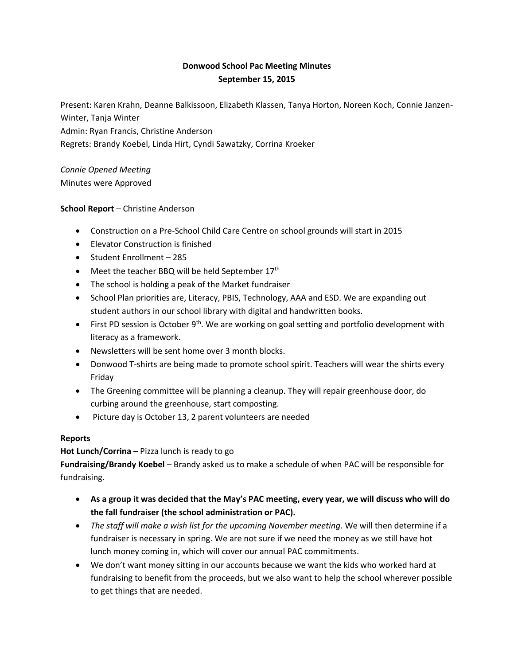## **Donwood School Pac Meeting Minutes September 15, 2015**

Present: Karen Krahn, Deanne Balkissoon, Elizabeth Klassen, Tanya Horton, Noreen Koch, Connie Janzen-Winter, Tanja Winter Admin: Ryan Francis, Christine Anderson

Regrets: Brandy Koebel, Linda Hirt, Cyndi Sawatzky, Corrina Kroeker

*Connie Opened Meeting* Minutes were Approved

## **School Report** – Christine Anderson

- Construction on a Pre-School Child Care Centre on school grounds will start in 2015
- Elevator Construction is finished
- Student Enrollment 285
- Meet the teacher BBQ will be held September 17<sup>th</sup>
- The school is holding a peak of the Market fundraiser
- School Plan priorities are, Literacy, PBIS, Technology, AAA and ESD. We are expanding out student authors in our school library with digital and handwritten books.
- First PD session is October  $9<sup>th</sup>$ . We are working on goal setting and portfolio development with literacy as a framework.
- Newsletters will be sent home over 3 month blocks.
- Donwood T-shirts are being made to promote school spirit. Teachers will wear the shirts every Friday
- The Greening committee will be planning a cleanup. They will repair greenhouse door, do curbing around the greenhouse, start composting.
- Picture day is October 13, 2 parent volunteers are needed

## **Reports**

**Hot Lunch/Corrina** – Pizza lunch is ready to go

**Fundraising/Brandy Koebel** – Brandy asked us to make a schedule of when PAC will be responsible for fundraising.

- **As a group it was decided that the May's PAC meeting, every year, we will discuss who will do the fall fundraiser (the school administration or PAC).**
- *The staff will make a wish list for the upcoming November meeting*. We will then determine if a fundraiser is necessary in spring. We are not sure if we need the money as we still have hot lunch money coming in, which will cover our annual PAC commitments.
- We don't want money sitting in our accounts because we want the kids who worked hard at fundraising to benefit from the proceeds, but we also want to help the school wherever possible to get things that are needed.